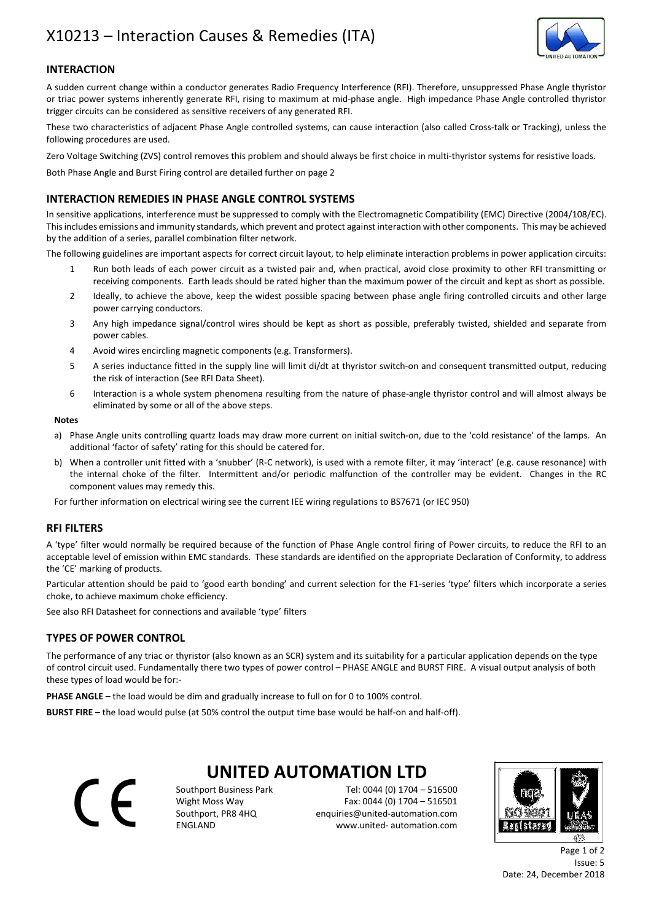## X10213 – Interaction Causes & Remedies (ITA)



## **INTERACTION**

A sudden current change within a conductor generates Radio Frequency Interference (RFI). Therefore, unsuppressed Phase Angle thyristor or triac power systems inherently generate RFI, rising to maximum at mid-phase angle. High impedance Phase Angle controlled thyristor trigger circuits can be considered as sensitive receivers of any generated RFI.

These two characteristics of adjacent Phase Angle controlled systems, can cause interaction (also called Cross-talk or Tracking), unless the following procedures are used.

Zero Voltage Switching (ZVS) control removes this problem and should always be first choice in multi-thyristor systems for resistive loads.

Both Phase Angle and Burst Firing control are detailed further on page 2

## INTERACTION REMEDIES IN PHASE ANGLE CONTROL SYSTEMS

In sensitive applications, interference must be suppressed to comply with the Electromagnetic Compatibility (EMC) Directive (2004/108/EC). This includes emissions and immunity standards, which prevent and protect against interaction with other components. This may be achieved by the addition of a series, parallel combination filter network.

The following guidelines are important aspects for correct circuit layout, to help eliminate interaction problems in power application circuits:

- 1 Run both leads of each power circuit as a twisted pair and, when practical, avoid close proximity to other RFI transmitting or receiving components. Earth leads should be rated higher than the maximum power of the circuit and kept as short as possible.
- 2 Ideally, to achieve the above, keep the widest possible spacing between phase angle firing controlled circuits and other large power carrying conductors.
- 3 Any high impedance signal/control wires should be kept as short as possible, preferably twisted, shielded and separate from power cables.
- 4 Avoid wires encircling magnetic components (e.g. Transformers).
- 5 A series inductance fitted in the supply line will limit di/dt at thyristor switch-on and consequent transmitted output, reducing the risk of interaction (See RFI Data Sheet).
- 6 Interaction is a whole system phenomena resulting from the nature of phase-angle thyristor control and will almost always be eliminated by some or all of the above steps.

#### Notes

- a) Phase Angle units controlling quartz loads may draw more current on initial switch-on, due to the 'cold resistance' of the lamps. An additional 'factor of safety' rating for this should be catered for.
- b) When a controller unit fitted with a 'snubber' (R-C network), is used with a remote filter, it may 'interact' (e.g. cause resonance) with the internal choke of the filter. Intermittent and/or periodic malfunction of the controller may be evident. Changes in the RC component values may remedy this.

For further information on electrical wiring see the current IEE wiring regulations to BS7671 (or IEC 950)

## RFI FILTERS

A 'type' filter would normally be required because of the function of Phase Angle control firing of Power circuits, to reduce the RFI to an acceptable level of emission within EMC standards. These standards are identified on the appropriate Declaration of Conformity, to address the 'CE' marking of products.

Particular attention should be paid to 'good earth bonding' and current selection for the F1-series 'type' filters which incorporate a series choke, to achieve maximum choke efficiency.

See also RFI Datasheet for connections and available 'type' filters

### TYPES OF POWER CONTROL

The performance of any triac or thyristor (also known as an SCR) system and its suitability for a particular application depends on the type of control circuit used. Fundamentally there two types of power control – PHASE ANGLE and BURST FIRE. A visual output analysis of both these types of load would be for:-

PHASE ANGLE – the load would be dim and gradually increase to full on for 0 to 100% control.

BURST FIRE – the load would pulse (at 50% control the output time base would be half-on and half-off).

 $\epsilon$ 

# UNITED AUTOMATION LTD

Southport Business Park Tel: 0044 (0) 1704 – 516500 Wight Moss Way Fax: 0044 (0) 1704 – 516501 Southport, PR8 4HQ enquiries@united-automation.com ENGLAND www.united- automation.com



Page 1 of 2 Issue: 5 Date: 24, December 2018